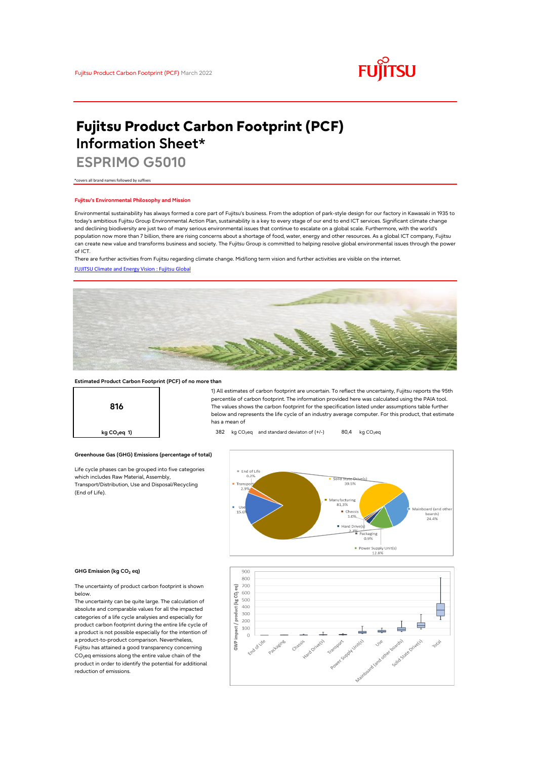

# **Fujitsu Product Carbon Footprint (PCF) Information Sheet\***

**ESPRIMO G5010**

\*covers all brand names followed by suffixes

### **Fujitsu's Environmental Philosophy and Mission**

Environmental sustainability has always formed a core part of Fujitsu's business. From the adoption of park-style design for our factory in Kawasaki in 1935 to today's ambitious Fujitsu Group Environmental Action Plan, sustainability is a key to every stage of our end to end ICT services. Significant climate change and declining biodiversity are just two of many serious environmental issues that continue to escalate on a global scale. Furthermore, with the world's population now more than 7 billion, there are rising concerns about a shortage of food, water, energy and other resources. As a global ICT company, Fujitsu can create new value and transforms business and society. The Fujitsu Group is committed to helping resolve global environmental issues through the power of ICT.

[FUJITSU Climate and Energy Vision : Fujitsu Global](https://www.fujitsu.com/global/about/environment/climate-energy-vision/) There are further activities from Fujitsu regarding climate change. Mid/long term vision and further activities are visible on the internet.



## **Estimated Product Carbon Footprint (PCF) of no more than**



1) All estimates of carbon footprint are uncertain. To reflect the uncertainty, Fujitsu reports the 95th percentile of carbon footprint. The information provided here was calculated using the PAIA tool. The values shows the carbon footprint for the specification listed under assumptions table further below and represents the life cycle of an industry average computer. For this product, that estimate has a mean of

## **kg CO<sub>2</sub>eq 1)** 382 kg CO<sub>2</sub>eq and standard deviaton of (+/-) 80,4 kg CO<sub>2</sub>eq

**Greenhouse Gas (GHG) Emissions (percentage of total)**

Life cycle phases can be grouped into five categories which includes Raw Material, Assembly, Transport/Distribution, Use and Disposal/Recycling (End of Life).





The uncertainty of product carbon footprint is shown below.

The uncertainty can be quite large. The calculation of absolute and comparable values for all the impacted categories of a life cycle analysies and especially for product carbon footprint during the entire life cycle of a product is not possible especially for the intention of a product-to-product comparison. Nevertheless, Fujitsu has attained a good transparency concerning CO<sub>2</sub>eq emissions along the entire value chain of the product in order to identify the potential for additional reduction of emissions.